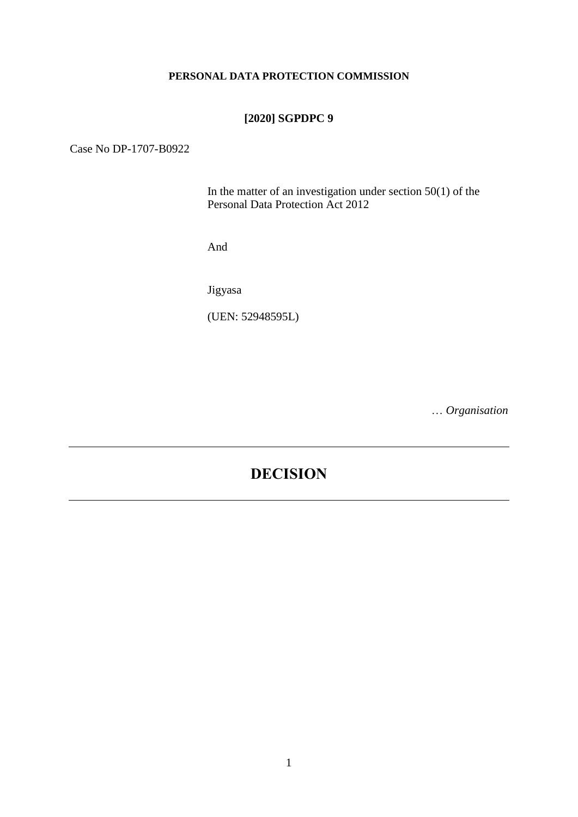#### **PERSONAL DATA PROTECTION COMMISSION**

# **[2020] SGPDPC 9**

# Case No DP-1707-B0922

In the matter of an investigation under section  $50(1)$  of the Personal Data Protection Act 2012

And

Jigyasa

(UEN: 52948595L)

… *Organisation*

# **DECISION**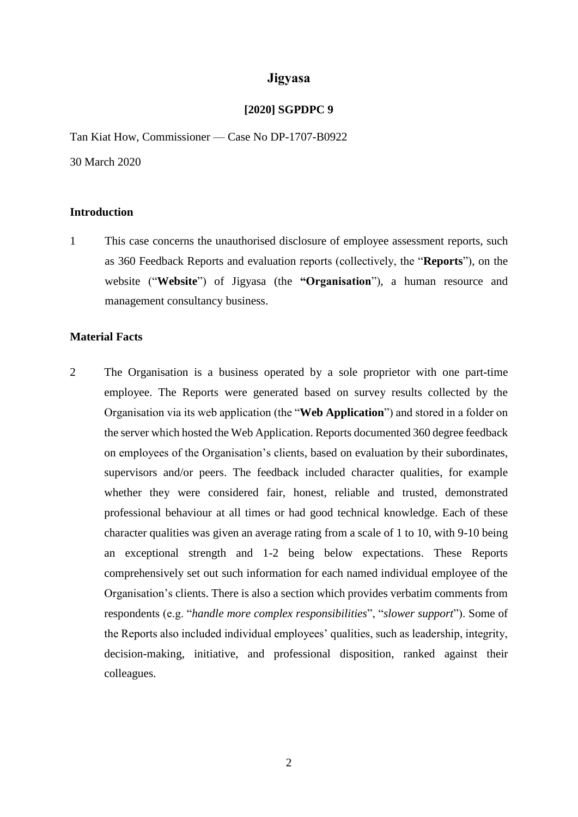# **Jigyasa**

#### **[2020] SGPDPC 9**

Tan Kiat How, Commissioner — Case No DP-1707-B0922

30 March 2020

#### **Introduction**

1 This case concerns the unauthorised disclosure of employee assessment reports, such as 360 Feedback Reports and evaluation reports (collectively, the "**Reports**"), on the website ("**Website**") of Jigyasa (the **"Organisation**"), a human resource and management consultancy business.

# **Material Facts**

2 The Organisation is a business operated by a sole proprietor with one part-time employee. The Reports were generated based on survey results collected by the Organisation via its web application (the "**Web Application**") and stored in a folder on the server which hosted the Web Application. Reports documented 360 degree feedback on employees of the Organisation's clients, based on evaluation by their subordinates, supervisors and/or peers. The feedback included character qualities, for example whether they were considered fair, honest, reliable and trusted, demonstrated professional behaviour at all times or had good technical knowledge. Each of these character qualities was given an average rating from a scale of 1 to 10, with 9-10 being an exceptional strength and 1-2 being below expectations. These Reports comprehensively set out such information for each named individual employee of the Organisation's clients. There is also a section which provides verbatim comments from respondents (e.g. "*handle more complex responsibilities*", "*slower support*"). Some of the Reports also included individual employees' qualities, such as leadership, integrity, decision-making, initiative, and professional disposition, ranked against their colleagues.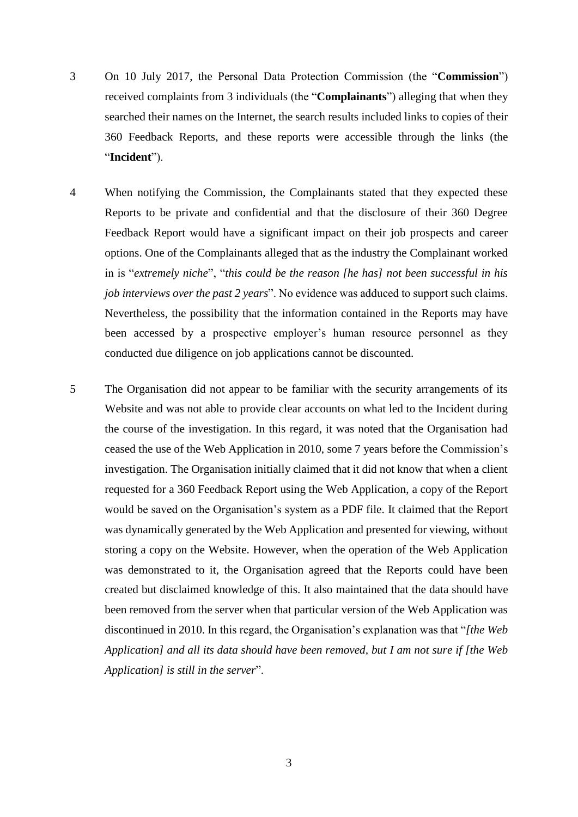- 3 On 10 July 2017, the Personal Data Protection Commission (the "**Commission**") received complaints from 3 individuals (the "**Complainants**") alleging that when they searched their names on the Internet, the search results included links to copies of their 360 Feedback Reports, and these reports were accessible through the links (the "**Incident**").
- 4 When notifying the Commission, the Complainants stated that they expected these Reports to be private and confidential and that the disclosure of their 360 Degree Feedback Report would have a significant impact on their job prospects and career options. One of the Complainants alleged that as the industry the Complainant worked in is "*extremely niche*", "*this could be the reason [he has] not been successful in his job interviews over the past 2 years*". No evidence was adduced to support such claims. Nevertheless, the possibility that the information contained in the Reports may have been accessed by a prospective employer's human resource personnel as they conducted due diligence on job applications cannot be discounted.
- 5 The Organisation did not appear to be familiar with the security arrangements of its Website and was not able to provide clear accounts on what led to the Incident during the course of the investigation. In this regard, it was noted that the Organisation had ceased the use of the Web Application in 2010, some 7 years before the Commission's investigation. The Organisation initially claimed that it did not know that when a client requested for a 360 Feedback Report using the Web Application, a copy of the Report would be saved on the Organisation's system as a PDF file. It claimed that the Report was dynamically generated by the Web Application and presented for viewing, without storing a copy on the Website. However, when the operation of the Web Application was demonstrated to it, the Organisation agreed that the Reports could have been created but disclaimed knowledge of this. It also maintained that the data should have been removed from the server when that particular version of the Web Application was discontinued in 2010. In this regard, the Organisation's explanation was that "*[the Web Application] and all its data should have been removed, but I am not sure if [the Web Application] is still in the server*".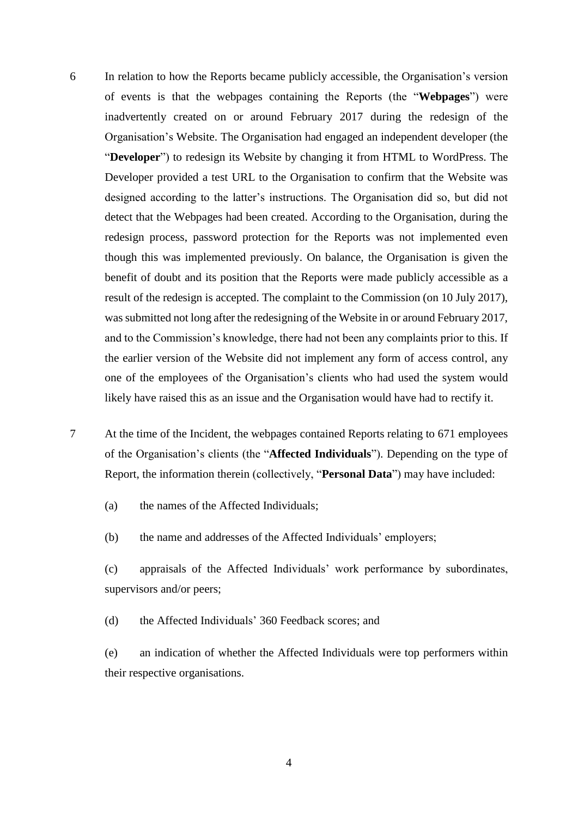- 6 In relation to how the Reports became publicly accessible, the Organisation's version of events is that the webpages containing the Reports (the "**Webpages**") were inadvertently created on or around February 2017 during the redesign of the Organisation's Website. The Organisation had engaged an independent developer (the "**Developer**") to redesign its Website by changing it from HTML to WordPress. The Developer provided a test URL to the Organisation to confirm that the Website was designed according to the latter's instructions. The Organisation did so, but did not detect that the Webpages had been created. According to the Organisation, during the redesign process, password protection for the Reports was not implemented even though this was implemented previously. On balance, the Organisation is given the benefit of doubt and its position that the Reports were made publicly accessible as a result of the redesign is accepted. The complaint to the Commission (on 10 July 2017), was submitted not long after the redesigning of the Website in or around February 2017, and to the Commission's knowledge, there had not been any complaints prior to this. If the earlier version of the Website did not implement any form of access control, any one of the employees of the Organisation's clients who had used the system would likely have raised this as an issue and the Organisation would have had to rectify it.
- 7 At the time of the Incident, the webpages contained Reports relating to 671 employees of the Organisation's clients (the "**Affected Individuals**"). Depending on the type of Report, the information therein (collectively, "**Personal Data**") may have included:
	- (a) the names of the Affected Individuals;
	- (b) the name and addresses of the Affected Individuals' employers;
	- (c) appraisals of the Affected Individuals' work performance by subordinates, supervisors and/or peers;
	- (d) the Affected Individuals' 360 Feedback scores; and
	- (e) an indication of whether the Affected Individuals were top performers within their respective organisations.

4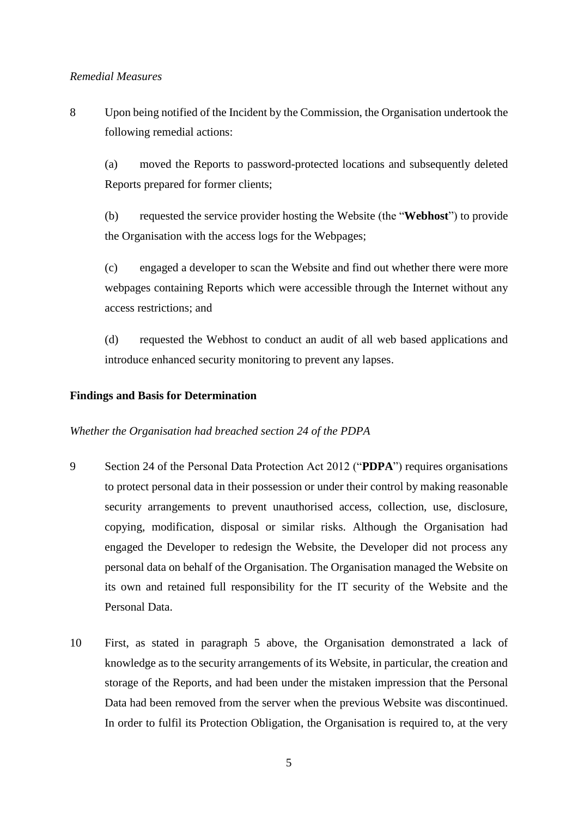#### *Remedial Measures*

<span id="page-4-0"></span>8 Upon being notified of the Incident by the Commission, the Organisation undertook the following remedial actions:

(a) moved the Reports to password-protected locations and subsequently deleted Reports prepared for former clients;

(b) requested the service provider hosting the Website (the "**Webhost**") to provide the Organisation with the access logs for the Webpages;

(c) engaged a developer to scan the Website and find out whether there were more webpages containing Reports which were accessible through the Internet without any access restrictions; and

(d) requested the Webhost to conduct an audit of all web based applications and introduce enhanced security monitoring to prevent any lapses.

#### **Findings and Basis for Determination**

#### *Whether the Organisation had breached section 24 of the PDPA*

- 9 Section 24 of the Personal Data Protection Act 2012 ("**PDPA**") requires organisations to protect personal data in their possession or under their control by making reasonable security arrangements to prevent unauthorised access, collection, use, disclosure, copying, modification, disposal or similar risks. Although the Organisation had engaged the Developer to redesign the Website, the Developer did not process any personal data on behalf of the Organisation. The Organisation managed the Website on its own and retained full responsibility for the IT security of the Website and the Personal Data.
- 10 First, as stated in paragraph 5 above, the Organisation demonstrated a lack of knowledge as to the security arrangements of its Website, in particular, the creation and storage of the Reports, and had been under the mistaken impression that the Personal Data had been removed from the server when the previous Website was discontinued. In order to fulfil its Protection Obligation, the Organisation is required to, at the very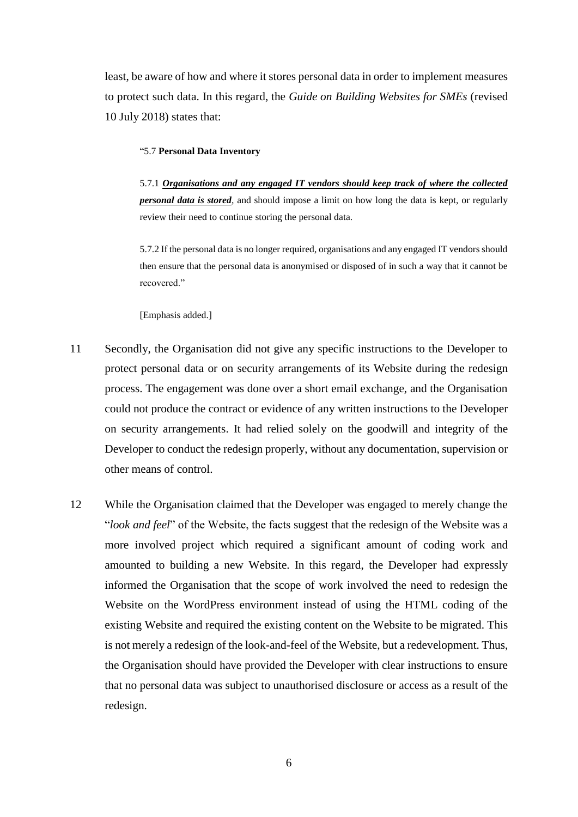least, be aware of how and where it stores personal data in order to implement measures to protect such data. In this regard, the *Guide on Building Websites for SMEs* (revised 10 July 2018) states that:

#### "5.7 **Personal Data Inventory**

5.7.1 *Organisations and any engaged IT vendors should keep track of where the collected personal data is stored,* and should impose a limit on how long the data is kept, or regularly review their need to continue storing the personal data.

5.7.2 If the personal data is no longer required, organisations and any engaged IT vendors should then ensure that the personal data is anonymised or disposed of in such a way that it cannot be recovered."

[Emphasis added.]

- 11 Secondly, the Organisation did not give any specific instructions to the Developer to protect personal data or on security arrangements of its Website during the redesign process. The engagement was done over a short email exchange, and the Organisation could not produce the contract or evidence of any written instructions to the Developer on security arrangements. It had relied solely on the goodwill and integrity of the Developer to conduct the redesign properly, without any documentation, supervision or other means of control.
- 12 While the Organisation claimed that the Developer was engaged to merely change the "*look and feel*" of the Website, the facts suggest that the redesign of the Website was a more involved project which required a significant amount of coding work and amounted to building a new Website. In this regard, the Developer had expressly informed the Organisation that the scope of work involved the need to redesign the Website on the WordPress environment instead of using the HTML coding of the existing Website and required the existing content on the Website to be migrated. This is not merely a redesign of the look-and-feel of the Website, but a redevelopment. Thus, the Organisation should have provided the Developer with clear instructions to ensure that no personal data was subject to unauthorised disclosure or access as a result of the redesign.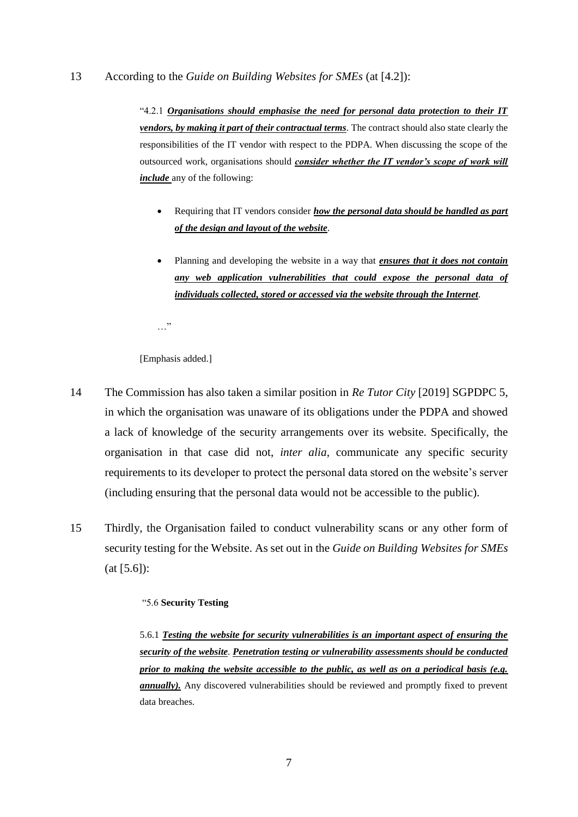# 13 According to the *Guide on Building Websites for SMEs* (at [4.2]):

"4.2.1 *Organisations should emphasise the need for personal data protection to their IT vendors, by making it part of their contractual terms.* The contract should also state clearly the responsibilities of the IT vendor with respect to the PDPA. When discussing the scope of the outsourced work, organisations should *consider whether the IT vendor's scope of work will include* any of the following:

- Requiring that IT vendors consider *how the personal data should be handled as part of the design and layout of the website.*
- Planning and developing the website in a way that *ensures that it does not contain any web application vulnerabilities that could expose the personal data of individuals collected, stored or accessed via the website through the Internet.*

…"

[Emphasis added.]

- 14 The Commission has also taken a similar position in *Re Tutor City* [2019] SGPDPC 5, in which the organisation was unaware of its obligations under the PDPA and showed a lack of knowledge of the security arrangements over its website. Specifically, the organisation in that case did not, *inter alia*, communicate any specific security requirements to its developer to protect the personal data stored on the website's server (including ensuring that the personal data would not be accessible to the public).
- 15 Thirdly, the Organisation failed to conduct vulnerability scans or any other form of security testing for the Website. As set out in the *Guide on Building Websites for SMEs* (at [5.6]):

# "5.6 **Security Testing**

5.6.1 *Testing the website for security vulnerabilities is an important aspect of ensuring the security of the website. Penetration testing or vulnerability assessments should be conducted prior to making the website accessible to the public, as well as on a periodical basis (e.g. annually*). Any discovered vulnerabilities should be reviewed and promptly fixed to prevent data breaches.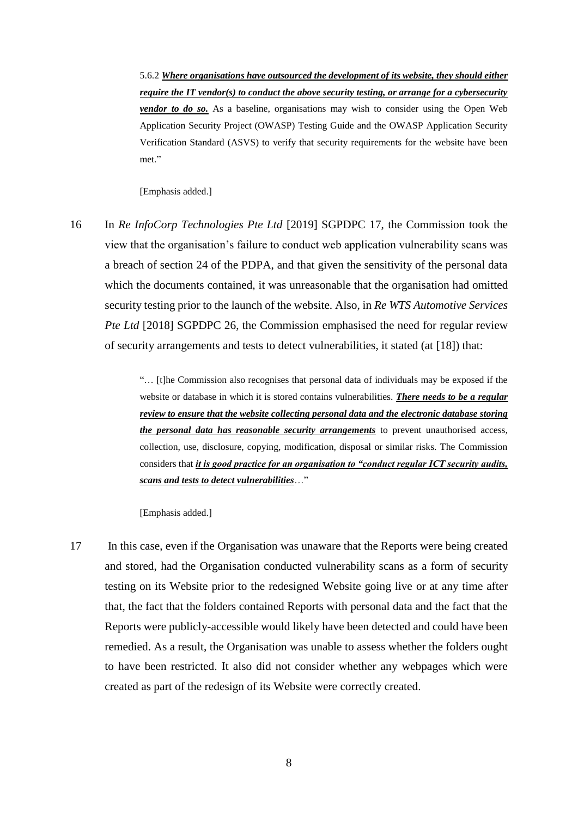5.6.2 *Where organisations have outsourced the development of its website, they should either require the IT vendor(s) to conduct the above security testing, or arrange for a cybersecurity vendor to do so.* As a baseline, organisations may wish to consider using the Open Web Application Security Project (OWASP) Testing Guide and the OWASP Application Security Verification Standard (ASVS) to verify that security requirements for the website have been met."

[Emphasis added.]

16 In *Re InfoCorp Technologies Pte Ltd* [2019] SGPDPC 17, the Commission took the view that the organisation's failure to conduct web application vulnerability scans was a breach of section 24 of the PDPA, and that given the sensitivity of the personal data which the documents contained, it was unreasonable that the organisation had omitted security testing prior to the launch of the website. Also, in *Re WTS Automotive Services Pte Ltd* [2018] SGPDPC 26, the Commission emphasised the need for regular review of security arrangements and tests to detect vulnerabilities, it stated (at [18]) that:

> "… [t]he Commission also recognises that personal data of individuals may be exposed if the website or database in which it is stored contains vulnerabilities. *There needs to be a regular review to ensure that the website collecting personal data and the electronic database storing the personal data has reasonable security arrangements* to prevent unauthorised access, collection, use, disclosure, copying, modification, disposal or similar risks. The Commission considers that *it is good practice for an organisation to "conduct regular ICT security audits, scans and tests to detect vulnerabilities*…"

[Emphasis added.]

17 In this case, even if the Organisation was unaware that the Reports were being created and stored, had the Organisation conducted vulnerability scans as a form of security testing on its Website prior to the redesigned Website going live or at any time after that, the fact that the folders contained Reports with personal data and the fact that the Reports were publicly-accessible would likely have been detected and could have been remedied. As a result, the Organisation was unable to assess whether the folders ought to have been restricted. It also did not consider whether any webpages which were created as part of the redesign of its Website were correctly created.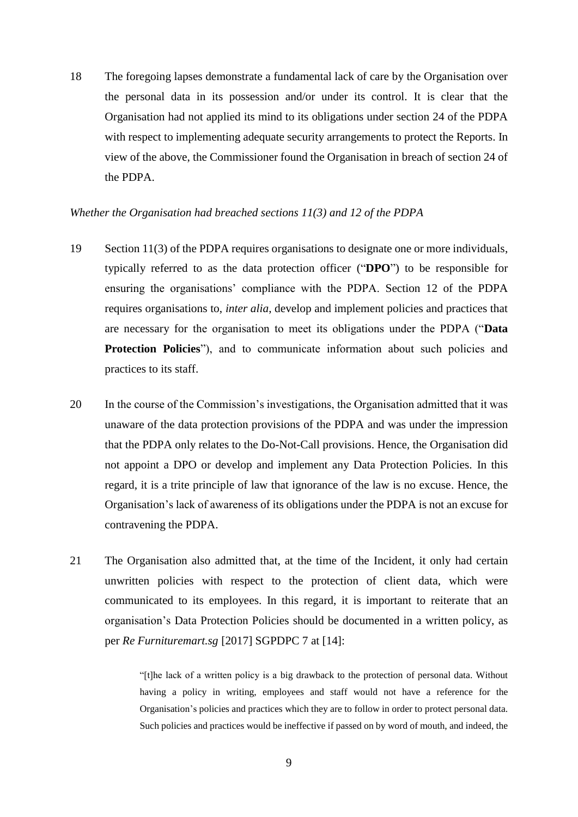18 The foregoing lapses demonstrate a fundamental lack of care by the Organisation over the personal data in its possession and/or under its control. It is clear that the Organisation had not applied its mind to its obligations under section 24 of the PDPA with respect to implementing adequate security arrangements to protect the Reports. In view of the above, the Commissioner found the Organisation in breach of section 24 of the PDPA.

#### *Whether the Organisation had breached sections 11(3) and 12 of the PDPA*

- 19 Section 11(3) of the PDPA requires organisations to designate one or more individuals, typically referred to as the data protection officer ("**DPO**") to be responsible for ensuring the organisations' compliance with the PDPA. Section 12 of the PDPA requires organisations to, *inter alia*, develop and implement policies and practices that are necessary for the organisation to meet its obligations under the PDPA ("**Data Protection Policies**"), and to communicate information about such policies and practices to its staff.
- 20 In the course of the Commission's investigations, the Organisation admitted that it was unaware of the data protection provisions of the PDPA and was under the impression that the PDPA only relates to the Do-Not-Call provisions. Hence, the Organisation did not appoint a DPO or develop and implement any Data Protection Policies. In this regard, it is a trite principle of law that ignorance of the law is no excuse. Hence, the Organisation's lack of awareness of its obligations under the PDPA is not an excuse for contravening the PDPA.
- 21 The Organisation also admitted that, at the time of the Incident, it only had certain unwritten policies with respect to the protection of client data, which were communicated to its employees. In this regard, it is important to reiterate that an organisation's Data Protection Policies should be documented in a written policy, as per *Re Furnituremart.sg* [2017] SGPDPC 7 at [14]:

"[t]he lack of a written policy is a big drawback to the protection of personal data. Without having a policy in writing, employees and staff would not have a reference for the Organisation's policies and practices which they are to follow in order to protect personal data. Such policies and practices would be ineffective if passed on by word of mouth, and indeed, the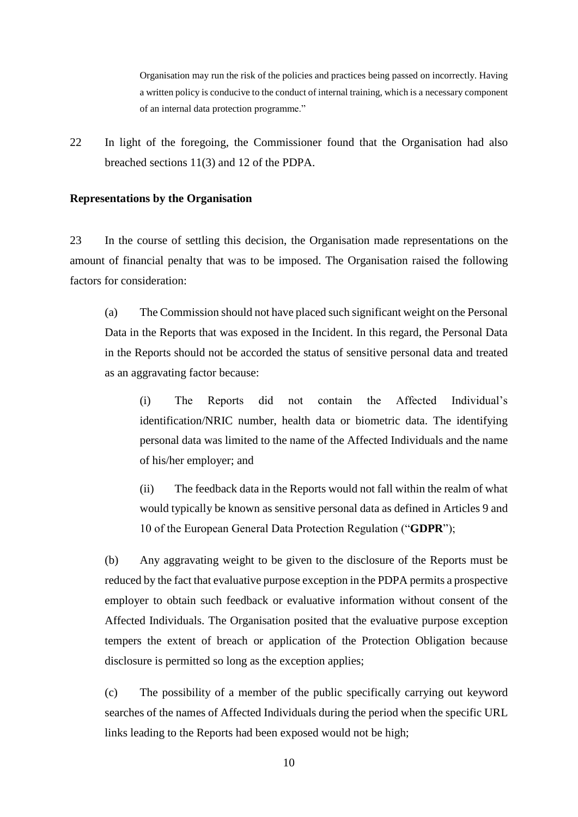Organisation may run the risk of the policies and practices being passed on incorrectly. Having a written policy is conducive to the conduct of internal training, which is a necessary component of an internal data protection programme."

22 In light of the foregoing, the Commissioner found that the Organisation had also breached sections 11(3) and 12 of the PDPA.

#### **Representations by the Organisation**

23 In the course of settling this decision, the Organisation made representations on the amount of financial penalty that was to be imposed. The Organisation raised the following factors for consideration:

<span id="page-9-0"></span>(a) The Commission should not have placed such significant weight on the Personal Data in the Reports that was exposed in the Incident. In this regard, the Personal Data in the Reports should not be accorded the status of sensitive personal data and treated as an aggravating factor because:

(i) The Reports did not contain the Affected Individual's identification/NRIC number, health data or biometric data. The identifying personal data was limited to the name of the Affected Individuals and the name of his/her employer; and

(ii) The feedback data in the Reports would not fall within the realm of what would typically be known as sensitive personal data as defined in Articles 9 and 10 of the European General Data Protection Regulation ("**GDPR**");

<span id="page-9-1"></span>(b) Any aggravating weight to be given to the disclosure of the Reports must be reduced by the fact that evaluative purpose exception in the PDPA permits a prospective employer to obtain such feedback or evaluative information without consent of the Affected Individuals. The Organisation posited that the evaluative purpose exception tempers the extent of breach or application of the Protection Obligation because disclosure is permitted so long as the exception applies;

<span id="page-9-2"></span>(c) The possibility of a member of the public specifically carrying out keyword searches of the names of Affected Individuals during the period when the specific URL links leading to the Reports had been exposed would not be high;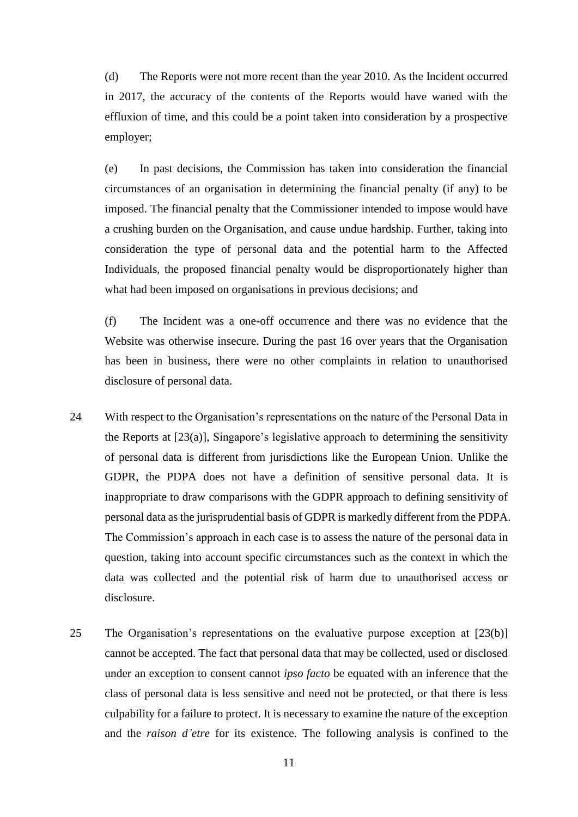<span id="page-10-0"></span>(d) The Reports were not more recent than the year 2010. As the Incident occurred in 2017, the accuracy of the contents of the Reports would have waned with the effluxion of time, and this could be a point taken into consideration by a prospective employer;

<span id="page-10-1"></span>(e) In past decisions, the Commission has taken into consideration the financial circumstances of an organisation in determining the financial penalty (if any) to be imposed. The financial penalty that the Commissioner intended to impose would have a crushing burden on the Organisation, and cause undue hardship. Further, taking into consideration the type of personal data and the potential harm to the Affected Individuals, the proposed financial penalty would be disproportionately higher than what had been imposed on organisations in previous decisions; and

(f) The Incident was a one-off occurrence and there was no evidence that the Website was otherwise insecure. During the past 16 over years that the Organisation has been in business, there were no other complaints in relation to unauthorised disclosure of personal data.

- 24 With respect to the Organisation's representations on the nature of the Personal Data in the Reports at [\[23\(a\)\]](#page-9-0), Singapore's legislative approach to determining the sensitivity of personal data is different from jurisdictions like the European Union. Unlike the GDPR, the PDPA does not have a definition of sensitive personal data. It is inappropriate to draw comparisons with the GDPR approach to defining sensitivity of personal data as the jurisprudential basis of GDPR is markedly different from the PDPA. The Commission's approach in each case is to assess the nature of the personal data in question, taking into account specific circumstances such as the context in which the data was collected and the potential risk of harm due to unauthorised access or disclosure.
- 25 The Organisation's representations on the evaluative purpose exception at [\[23\(b\)\]](#page-9-1) cannot be accepted. The fact that personal data that may be collected, used or disclosed under an exception to consent cannot *ipso facto* be equated with an inference that the class of personal data is less sensitive and need not be protected, or that there is less culpability for a failure to protect. It is necessary to examine the nature of the exception and the *raison d'etre* for its existence. The following analysis is confined to the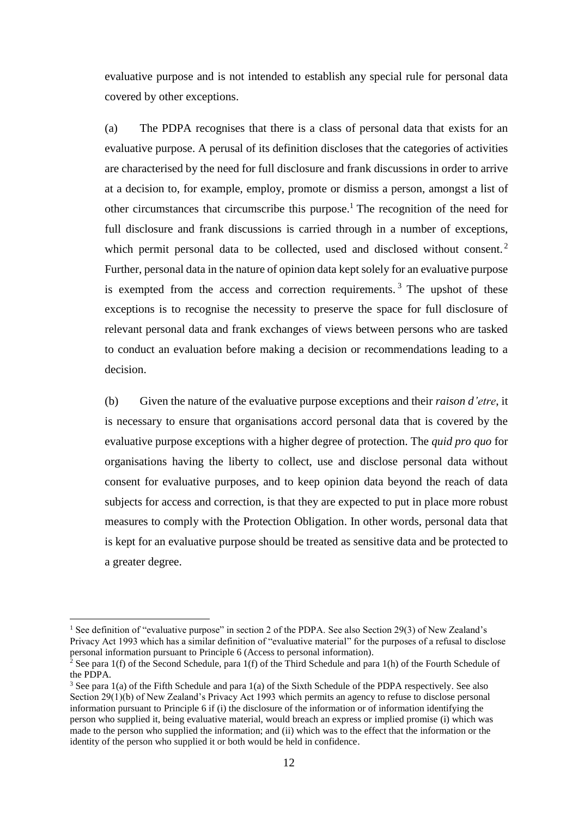evaluative purpose and is not intended to establish any special rule for personal data covered by other exceptions.

(a) The PDPA recognises that there is a class of personal data that exists for an evaluative purpose. A perusal of its definition discloses that the categories of activities are characterised by the need for full disclosure and frank discussions in order to arrive at a decision to, for example, employ, promote or dismiss a person, amongst a list of other circumstances that circumscribe this purpose. <sup>1</sup> The recognition of the need for full disclosure and frank discussions is carried through in a number of exceptions, which permit personal data to be collected, used and disclosed without consent.<sup>2</sup> Further, personal data in the nature of opinion data kept solely for an evaluative purpose is exempted from the access and correction requirements.<sup>3</sup> The upshot of these exceptions is to recognise the necessity to preserve the space for full disclosure of relevant personal data and frank exchanges of views between persons who are tasked to conduct an evaluation before making a decision or recommendations leading to a decision.

(b) Given the nature of the evaluative purpose exceptions and their *raison d'etre*, it is necessary to ensure that organisations accord personal data that is covered by the evaluative purpose exceptions with a higher degree of protection. The *quid pro quo* for organisations having the liberty to collect, use and disclose personal data without consent for evaluative purposes, and to keep opinion data beyond the reach of data subjects for access and correction, is that they are expected to put in place more robust measures to comply with the Protection Obligation. In other words, personal data that is kept for an evaluative purpose should be treated as sensitive data and be protected to a greater degree.

1

<sup>&</sup>lt;sup>1</sup> See definition of "evaluative purpose" in section 2 of the PDPA. See also Section 29(3) of New Zealand's Privacy Act 1993 which has a similar definition of "evaluative material" for the purposes of a refusal to disclose personal information pursuant to Principle 6 (Access to personal information).

<sup>&</sup>lt;sup>2</sup> See para 1(f) of the Second Schedule, para 1(f) of the Third Schedule and para 1(h) of the Fourth Schedule of the PDPA.

<sup>3</sup> See para 1(a) of the Fifth Schedule and para 1(a) of the Sixth Schedule of the PDPA respectively. See also Section 29(1)(b) of New Zealand's Privacy Act 1993 which permits an agency to refuse to disclose personal information pursuant to Principle 6 if (i) the disclosure of the information or of information identifying the person who supplied it, being evaluative material, would breach an express or implied promise (i) which was made to the person who supplied the information; and (ii) which was to the effect that the information or the identity of the person who supplied it or both would be held in confidence.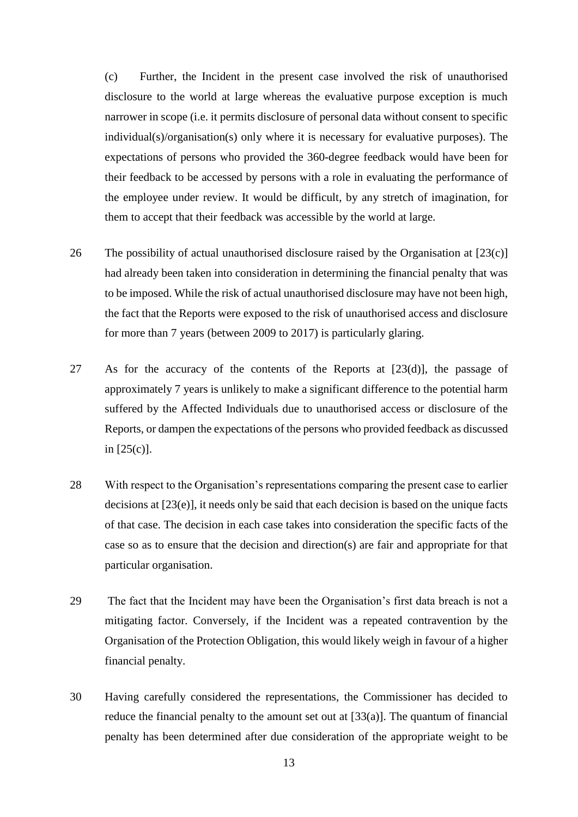(c) Further, the Incident in the present case involved the risk of unauthorised disclosure to the world at large whereas the evaluative purpose exception is much narrower in scope (i.e. it permits disclosure of personal data without consent to specific individual(s)/organisation(s) only where it is necessary for evaluative purposes). The expectations of persons who provided the 360-degree feedback would have been for their feedback to be accessed by persons with a role in evaluating the performance of the employee under review. It would be difficult, by any stretch of imagination, for them to accept that their feedback was accessible by the world at large.

- 26 The possibility of actual unauthorised disclosure raised by the Organisation at [\[23\(c\)\]](#page-9-2) had already been taken into consideration in determining the financial penalty that was to be imposed. While the risk of actual unauthorised disclosure may have not been high, the fact that the Reports were exposed to the risk of unauthorised access and disclosure for more than 7 years (between 2009 to 2017) is particularly glaring.
- 27 As for the accuracy of the contents of the Reports at [\[23\(d\)\]](#page-10-0), the passage of approximately 7 years is unlikely to make a significant difference to the potential harm suffered by the Affected Individuals due to unauthorised access or disclosure of the Reports, or dampen the expectations of the persons who provided feedback as discussed in  $[25(c)]$ .
- 28 With respect to the Organisation's representations comparing the present case to earlier decisions at [\[23\(e\)\]](#page-10-1), it needs only be said that each decision is based on the unique facts of that case. The decision in each case takes into consideration the specific facts of the case so as to ensure that the decision and direction(s) are fair and appropriate for that particular organisation.
- 29 The fact that the Incident may have been the Organisation's first data breach is not a mitigating factor. Conversely, if the Incident was a repeated contravention by the Organisation of the Protection Obligation, this would likely weigh in favour of a higher financial penalty.
- 30 Having carefully considered the representations, the Commissioner has decided to reduce the financial penalty to the amount set out at [\[33\(a\)\]](#page-13-0). The quantum of financial penalty has been determined after due consideration of the appropriate weight to be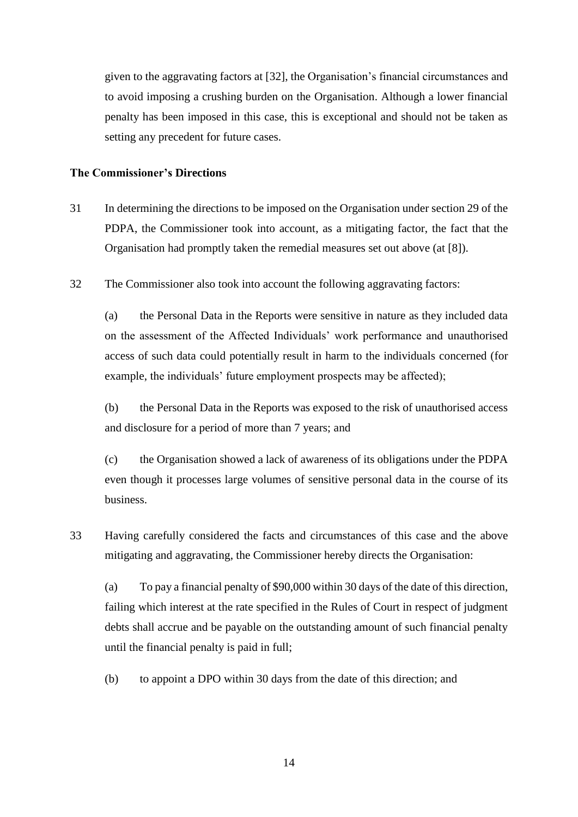given to the aggravating factors at [\[32\]](#page-13-1), the Organisation's financial circumstances and to avoid imposing a crushing burden on the Organisation. Although a lower financial penalty has been imposed in this case, this is exceptional and should not be taken as setting any precedent for future cases.

#### **The Commissioner's Directions**

- 31 In determining the directions to be imposed on the Organisation under section 29 of the PDPA, the Commissioner took into account, as a mitigating factor, the fact that the Organisation had promptly taken the remedial measures set out above (at [\[8\]](#page-4-0)).
- <span id="page-13-1"></span>32 The Commissioner also took into account the following aggravating factors:

(a) the Personal Data in the Reports were sensitive in nature as they included data on the assessment of the Affected Individuals' work performance and unauthorised access of such data could potentially result in harm to the individuals concerned (for example, the individuals' future employment prospects may be affected);

(b) the Personal Data in the Reports was exposed to the risk of unauthorised access and disclosure for a period of more than 7 years; and

(c) the Organisation showed a lack of awareness of its obligations under the PDPA even though it processes large volumes of sensitive personal data in the course of its business.

33 Having carefully considered the facts and circumstances of this case and the above mitigating and aggravating, the Commissioner hereby directs the Organisation:

<span id="page-13-0"></span>(a) To pay a financial penalty of \$90,000 within 30 days of the date of this direction, failing which interest at the rate specified in the Rules of Court in respect of judgment debts shall accrue and be payable on the outstanding amount of such financial penalty until the financial penalty is paid in full;

(b) to appoint a DPO within 30 days from the date of this direction; and